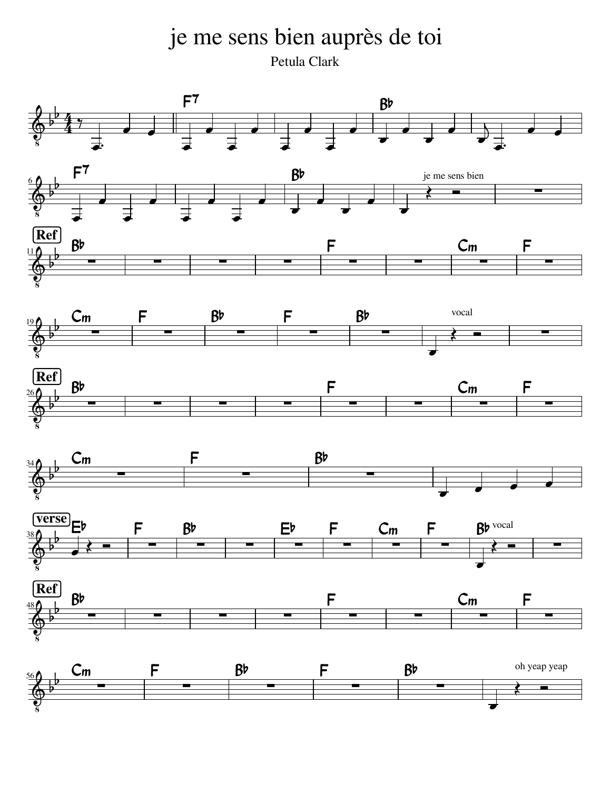je me sens bien auprès de toi Petula Clark